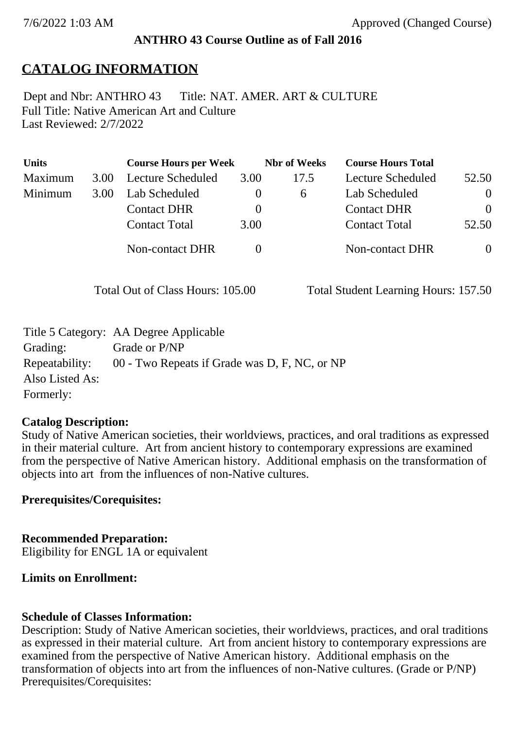## **ANTHRO 43 Course Outline as of Fall 2016**

# **CATALOG INFORMATION**

Full Title: Native American Art and Culture Last Reviewed: 2/7/2022 Dept and Nbr: ANTHRO 43 Title: NAT. AMER. ART & CULTURE

| <b>Units</b> |      | <b>Course Hours per Week</b> |          | <b>Nbr</b> of Weeks | <b>Course Hours Total</b> |                |
|--------------|------|------------------------------|----------|---------------------|---------------------------|----------------|
| Maximum      | 3.00 | Lecture Scheduled            | 3.00     | 17.5                | <b>Lecture Scheduled</b>  | 52.50          |
| Minimum      | 3.00 | Lab Scheduled                | $\theta$ | $\sigma$            | Lab Scheduled             | $\overline{0}$ |
|              |      | <b>Contact DHR</b>           | $\theta$ |                     | <b>Contact DHR</b>        | $\Omega$       |
|              |      | <b>Contact Total</b>         | 3.00     |                     | <b>Contact Total</b>      | 52.50          |
|              |      | Non-contact DHR              |          |                     | <b>Non-contact DHR</b>    | $\overline{0}$ |

Total Out of Class Hours: 105.00 Total Student Learning Hours: 157.50

|                 | Title 5 Category: AA Degree Applicable        |
|-----------------|-----------------------------------------------|
| Grading:        | Grade or P/NP                                 |
| Repeatability:  | 00 - Two Repeats if Grade was D, F, NC, or NP |
| Also Listed As: |                                               |
| Formerly:       |                                               |

### **Catalog Description:**

Study of Native American societies, their worldviews, practices, and oral traditions as expressed in their material culture. Art from ancient history to contemporary expressions are examined from the perspective of Native American history. Additional emphasis on the transformation of objects into art from the influences of non-Native cultures.

### **Prerequisites/Corequisites:**

**Recommended Preparation:** Eligibility for ENGL 1A or equivalent

### **Limits on Enrollment:**

### **Schedule of Classes Information:**

Description: Study of Native American societies, their worldviews, practices, and oral traditions as expressed in their material culture. Art from ancient history to contemporary expressions are examined from the perspective of Native American history. Additional emphasis on the transformation of objects into art from the influences of non-Native cultures. (Grade or P/NP) Prerequisites/Corequisites: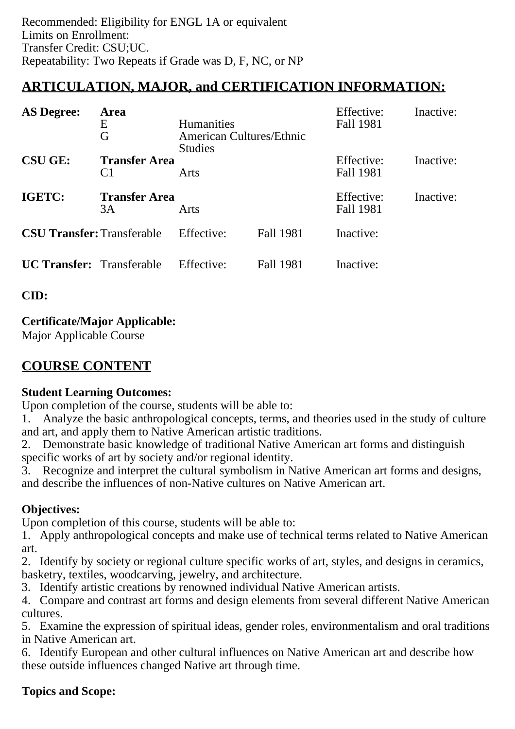# **ARTICULATION, MAJOR, and CERTIFICATION INFORMATION:**

| <b>AS Degree:</b>                                        | Area<br>Ε<br>G             | <b>Humanities</b><br><b>American Cultures/Ethnic</b><br><b>Studies</b> |           | Effective:<br>Fall 1981 | Inactive: |
|----------------------------------------------------------|----------------------------|------------------------------------------------------------------------|-----------|-------------------------|-----------|
| <b>CSU GE:</b><br><b>Transfer Area</b><br>C <sub>1</sub> |                            | Arts                                                                   |           | Effective:<br>Fall 1981 | Inactive: |
| IGETC:                                                   | <b>Transfer Area</b><br>3A | Arts                                                                   |           | Effective:<br>Fall 1981 | Inactive: |
| <b>CSU Transfer: Transferable</b>                        |                            | Effective:                                                             | Fall 1981 | Inactive:               |           |
| <b>UC Transfer:</b> Transferable                         |                            | Effective:                                                             | Fall 1981 | Inactive:               |           |

**CID:**

# **Certificate/Major Applicable:**

[Major Applicable Course](SR_ClassCheck.aspx?CourseKey=ANTHRO43)

# **COURSE CONTENT**

# **Student Learning Outcomes:**

Upon completion of the course, students will be able to:

1. Analyze the basic anthropological concepts, terms, and theories used in the study of culture and art, and apply them to Native American artistic traditions.

2. Demonstrate basic knowledge of traditional Native American art forms and distinguish specific works of art by society and/or regional identity.

3. Recognize and interpret the cultural symbolism in Native American art forms and designs, and describe the influences of non-Native cultures on Native American art.

# **Objectives:**

Upon completion of this course, students will be able to:

1. Apply anthropological concepts and make use of technical terms related to Native American art.

2. Identify by society or regional culture specific works of art, styles, and designs in ceramics, basketry, textiles, woodcarving, jewelry, and architecture.

3. Identify artistic creations by renowned individual Native American artists.

4. Compare and contrast art forms and design elements from several different Native American cultures.

5. Examine the expression of spiritual ideas, gender roles, environmentalism and oral traditions in Native American art.

6. Identify European and other cultural influences on Native American art and describe how these outside influences changed Native art through time.

# **Topics and Scope:**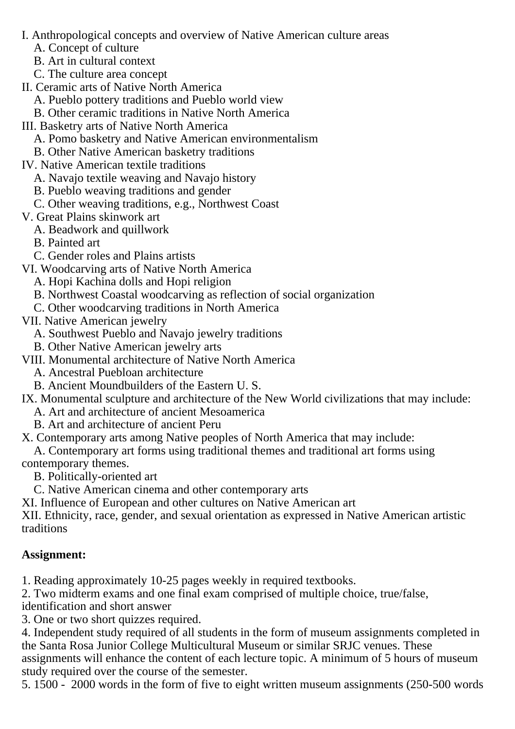- I. Anthropological concepts and overview of Native American culture areas
	- A. Concept of culture
	- B. Art in cultural context
	- C. The culture area concept
- II. Ceramic arts of Native North America
	- A. Pueblo pottery traditions and Pueblo world view
	- B. Other ceramic traditions in Native North America
- III. Basketry arts of Native North America
	- A. Pomo basketry and Native American environmentalism
	- B. Other Native American basketry traditions
- IV. Native American textile traditions
	- A. Navajo textile weaving and Navajo history
	- B. Pueblo weaving traditions and gender
	- C. Other weaving traditions, e.g., Northwest Coast
- V. Great Plains skinwork art
	- A. Beadwork and quillwork
	- B. Painted art
	- C. Gender roles and Plains artists
- VI. Woodcarving arts of Native North America
	- A. Hopi Kachina dolls and Hopi religion
	- B. Northwest Coastal woodcarving as reflection of social organization
	- C. Other woodcarving traditions in North America
- VII. Native American jewelry
	- A. Southwest Pueblo and Navajo jewelry traditions
	- B. Other Native American jewelry arts
- VIII. Monumental architecture of Native North America
	- A. Ancestral Puebloan architecture
	- B. Ancient Moundbuilders of the Eastern U. S.
- IX. Monumental sculpture and architecture of the New World civilizations that may include:
	- A. Art and architecture of ancient Mesoamerica
	- B. Art and architecture of ancient Peru
- X. Contemporary arts among Native peoples of North America that may include:
- A. Contemporary art forms using traditional themes and traditional art forms using contemporary themes.
	- B. Politically-oriented art
	- C. Native American cinema and other contemporary arts
- XI. Influence of European and other cultures on Native American art
- XII. Ethnicity, race, gender, and sexual orientation as expressed in Native American artistic traditions

## **Assignment:**

- 1. Reading approximately 10-25 pages weekly in required textbooks.
- 2. Two midterm exams and one final exam comprised of multiple choice, true/false,
- identification and short answer
- 3. One or two short quizzes required.
- 4. Independent study required of all students in the form of museum assignments completed in the Santa Rosa Junior College Multicultural Museum or similar SRJC venues. These assignments will enhance the content of each lecture topic. A minimum of 5 hours of museum study required over the course of the semester.
- 5. 1500 2000 words in the form of five to eight written museum assignments (250-500 words